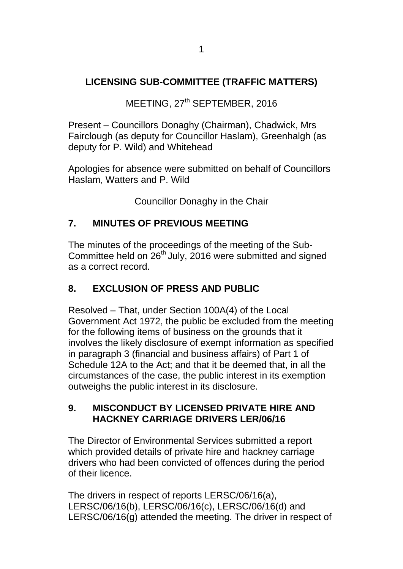## **LICENSING SUB-COMMITTEE (TRAFFIC MATTERS)**

MEETING, 27<sup>th</sup> SEPTEMBER, 2016

Present – Councillors Donaghy (Chairman), Chadwick, Mrs Fairclough (as deputy for Councillor Haslam), Greenhalgh (as deputy for P. Wild) and Whitehead

Apologies for absence were submitted on behalf of Councillors Haslam, Watters and P. Wild

Councillor Donaghy in the Chair

## **7. MINUTES OF PREVIOUS MEETING**

The minutes of the proceedings of the meeting of the Sub-Committee held on 26<sup>th</sup> July, 2016 were submitted and signed as a correct record.

## **8. EXCLUSION OF PRESS AND PUBLIC**

Resolved – That, under Section 100A(4) of the Local Government Act 1972, the public be excluded from the meeting for the following items of business on the grounds that it involves the likely disclosure of exempt information as specified in paragraph 3 (financial and business affairs) of Part 1 of Schedule 12A to the Act; and that it be deemed that, in all the circumstances of the case, the public interest in its exemption outweighs the public interest in its disclosure.

## **9. MISCONDUCT BY LICENSED PRIVATE HIRE AND HACKNEY CARRIAGE DRIVERS LER/06/16**

The Director of Environmental Services submitted a report which provided details of private hire and hackney carriage drivers who had been convicted of offences during the period of their licence.

The drivers in respect of reports LERSC/06/16(a), LERSC/06/16(b), LERSC/06/16(c), LERSC/06/16(d) and LERSC/06/16(g) attended the meeting. The driver in respect of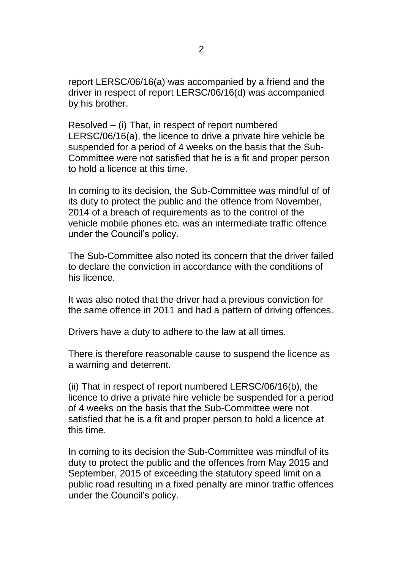report LERSC/06/16(a) was accompanied by a friend and the driver in respect of report LERSC/06/16(d) was accompanied by his brother.

Resolved **–** (i) That, in respect of report numbered LERSC/06/16(a), the licence to drive a private hire vehicle be suspended for a period of 4 weeks on the basis that the Sub-Committee were not satisfied that he is a fit and proper person to hold a licence at this time.

In coming to its decision, the Sub-Committee was mindful of of its duty to protect the public and the offence from November, 2014 of a breach of requirements as to the control of the vehicle mobile phones etc. was an intermediate traffic offence under the Council's policy.

The Sub-Committee also noted its concern that the driver failed to declare the conviction in accordance with the conditions of his licence.

It was also noted that the driver had a previous conviction for the same offence in 2011 and had a pattern of driving offences.

Drivers have a duty to adhere to the law at all times.

There is therefore reasonable cause to suspend the licence as a warning and deterrent.

(ii) That in respect of report numbered LERSC/06/16(b), the licence to drive a private hire vehicle be suspended for a period of 4 weeks on the basis that the Sub-Committee were not satisfied that he is a fit and proper person to hold a licence at this time.

In coming to its decision the Sub-Committee was mindful of its duty to protect the public and the offences from May 2015 and September, 2015 of exceeding the statutory speed limit on a public road resulting in a fixed penalty are minor traffic offences under the Council's policy.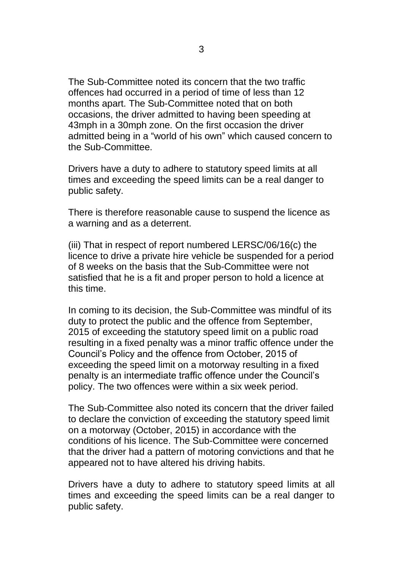The Sub-Committee noted its concern that the two traffic offences had occurred in a period of time of less than 12 months apart. The Sub-Committee noted that on both occasions, the driver admitted to having been speeding at 43mph in a 30mph zone. On the first occasion the driver admitted being in a "world of his own" which caused concern to the Sub-Committee.

Drivers have a duty to adhere to statutory speed limits at all times and exceeding the speed limits can be a real danger to public safety.

There is therefore reasonable cause to suspend the licence as a warning and as a deterrent.

(iii) That in respect of report numbered LERSC/06/16(c) the licence to drive a private hire vehicle be suspended for a period of 8 weeks on the basis that the Sub-Committee were not satisfied that he is a fit and proper person to hold a licence at this time.

In coming to its decision, the Sub-Committee was mindful of its duty to protect the public and the offence from September, 2015 of exceeding the statutory speed limit on a public road resulting in a fixed penalty was a minor traffic offence under the Council's Policy and the offence from October, 2015 of exceeding the speed limit on a motorway resulting in a fixed penalty is an intermediate traffic offence under the Council's policy. The two offences were within a six week period.

The Sub-Committee also noted its concern that the driver failed to declare the conviction of exceeding the statutory speed limit on a motorway (October, 2015) in accordance with the conditions of his licence. The Sub-Committee were concerned that the driver had a pattern of motoring convictions and that he appeared not to have altered his driving habits.

Drivers have a duty to adhere to statutory speed limits at all times and exceeding the speed limits can be a real danger to public safety.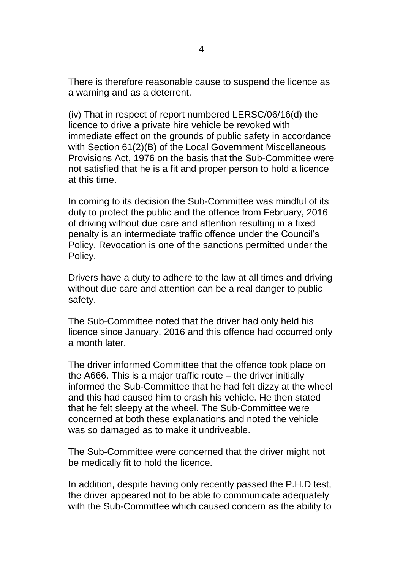There is therefore reasonable cause to suspend the licence as a warning and as a deterrent.

(iv) That in respect of report numbered LERSC/06/16(d) the licence to drive a private hire vehicle be revoked with immediate effect on the grounds of public safety in accordance with Section 61(2)(B) of the Local Government Miscellaneous Provisions Act, 1976 on the basis that the Sub-Committee were not satisfied that he is a fit and proper person to hold a licence at this time.

In coming to its decision the Sub-Committee was mindful of its duty to protect the public and the offence from February, 2016 of driving without due care and attention resulting in a fixed penalty is an intermediate traffic offence under the Council's Policy. Revocation is one of the sanctions permitted under the Policy.

Drivers have a duty to adhere to the law at all times and driving without due care and attention can be a real danger to public safety.

The Sub-Committee noted that the driver had only held his licence since January, 2016 and this offence had occurred only a month later.

The driver informed Committee that the offence took place on the A666. This is a major traffic route – the driver initially informed the Sub-Committee that he had felt dizzy at the wheel and this had caused him to crash his vehicle. He then stated that he felt sleepy at the wheel. The Sub-Committee were concerned at both these explanations and noted the vehicle was so damaged as to make it undriveable.

The Sub-Committee were concerned that the driver might not be medically fit to hold the licence.

In addition, despite having only recently passed the P.H.D test, the driver appeared not to be able to communicate adequately with the Sub-Committee which caused concern as the ability to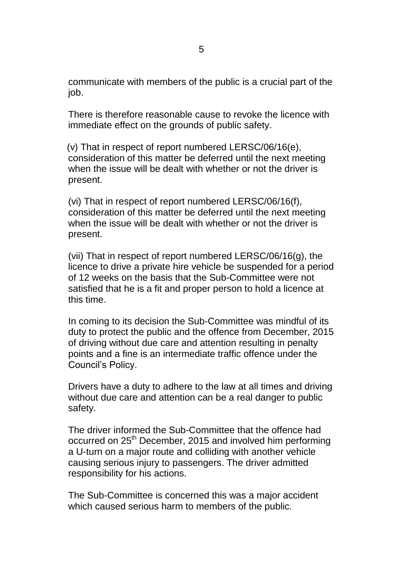communicate with members of the public is a crucial part of the job.

There is therefore reasonable cause to revoke the licence with immediate effect on the grounds of public safety.

 (v) That in respect of report numbered LERSC/06/16(e), consideration of this matter be deferred until the next meeting when the issue will be dealt with whether or not the driver is present.

(vi) That in respect of report numbered LERSC/06/16(f), consideration of this matter be deferred until the next meeting when the issue will be dealt with whether or not the driver is present.

(vii) That in respect of report numbered LERSC/06/16(g), the licence to drive a private hire vehicle be suspended for a period of 12 weeks on the basis that the Sub-Committee were not satisfied that he is a fit and proper person to hold a licence at this time.

In coming to its decision the Sub-Committee was mindful of its duty to protect the public and the offence from December, 2015 of driving without due care and attention resulting in penalty points and a fine is an intermediate traffic offence under the Council's Policy.

Drivers have a duty to adhere to the law at all times and driving without due care and attention can be a real danger to public safety.

The driver informed the Sub-Committee that the offence had occurred on 25<sup>th</sup> December, 2015 and involved him performing a U-turn on a major route and colliding with another vehicle causing serious injury to passengers. The driver admitted responsibility for his actions.

The Sub-Committee is concerned this was a major accident which caused serious harm to members of the public.